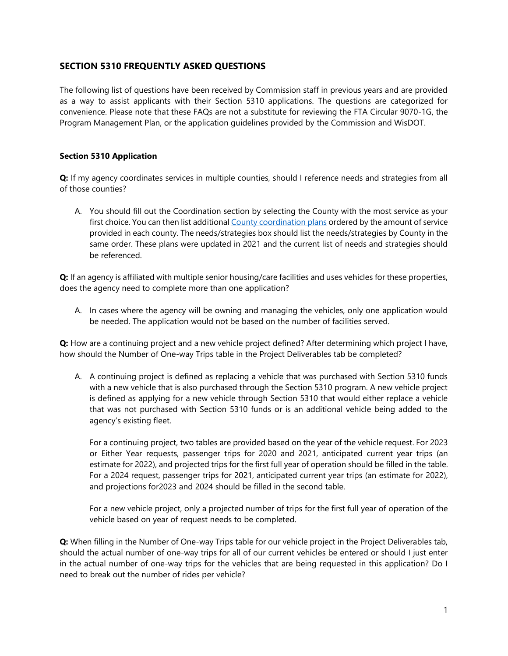# **SECTION 5310 FREQUENTLY ASKED QUESTIONS**

The following list of questions have been received by Commission staff in previous years and are provided as a way to assist applicants with their Section 5310 applications. The questions are categorized for convenience. Please note that these FAQs are not a substitute for reviewing the FTA Circular 9070-1G, the Program Management Plan, or the application guidelines provided by the Commission and WisDOT.

## **Section 5310 Application**

**Q:** If my agency coordinates services in multiple counties, should I reference needs and strategies from all of those counties?

A. You should fill out the Coordination section by selecting the County with the most service as your first choice. You can then list additional [County coordination plans](http://www.sewrpc.org/SEWRPC/Transportation/HumanServicesTransportationCoordination.htm) ordered by the amount of service provided in each county. The needs/strategies box should list the needs/strategies by County in the same order. These plans were updated in 2021 and the current list of needs and strategies should be referenced.

**Q:** If an agency is affiliated with multiple senior housing/care facilities and uses vehicles for these properties, does the agency need to complete more than one application?

A. In cases where the agency will be owning and managing the vehicles, only one application would be needed. The application would not be based on the number of facilities served.

**Q:** How are a continuing project and a new vehicle project defined? After determining which project I have, how should the Number of One-way Trips table in the Project Deliverables tab be completed?

A. A continuing project is defined as replacing a vehicle that was purchased with Section 5310 funds with a new vehicle that is also purchased through the Section 5310 program. A new vehicle project is defined as applying for a new vehicle through Section 5310 that would either replace a vehicle that was not purchased with Section 5310 funds or is an additional vehicle being added to the agency's existing fleet.

For a continuing project, two tables are provided based on the year of the vehicle request. For 2023 or Either Year requests, passenger trips for 2020 and 2021, anticipated current year trips (an estimate for 2022), and projected trips for the first full year of operation should be filled in the table. For a 2024 request, passenger trips for 2021, anticipated current year trips (an estimate for 2022), and projections for2023 and 2024 should be filled in the second table.

For a new vehicle project, only a projected number of trips for the first full year of operation of the vehicle based on year of request needs to be completed.

**Q:** When filling in the Number of One-way Trips table for our vehicle project in the Project Deliverables tab, should the actual number of one-way trips for all of our current vehicles be entered or should I just enter in the actual number of one-way trips for the vehicles that are being requested in this application? Do I need to break out the number of rides per vehicle?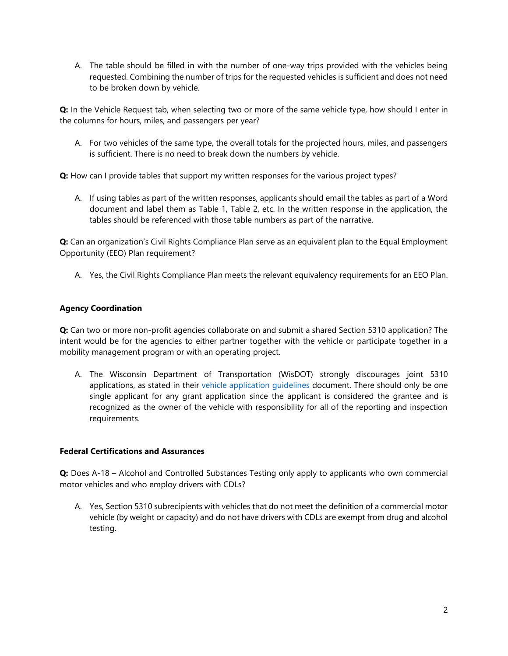A. The table should be filled in with the number of one-way trips provided with the vehicles being requested. Combining the number of trips for the requested vehicles is sufficient and does not need to be broken down by vehicle.

**Q:** In the Vehicle Request tab, when selecting two or more of the same vehicle type, how should I enter in the columns for hours, miles, and passengers per year?

A. For two vehicles of the same type, the overall totals for the projected hours, miles, and passengers is sufficient. There is no need to break down the numbers by vehicle.

**Q:** How can I provide tables that support my written responses for the various project types?

A. If using tables as part of the written responses, applicants should email the tables as part of a Word document and label them as Table 1, Table 2, etc. In the written response in the application, the tables should be referenced with those table numbers as part of the narrative.

**Q:** Can an organization's Civil Rights Compliance Plan serve as an equivalent plan to the Equal Employment Opportunity (EEO) Plan requirement?

A. Yes, the Civil Rights Compliance Plan meets the relevant equivalency requirements for an EEO Plan.

## **Agency Coordination**

**Q:** Can two or more non-profit agencies collaborate on and submit a shared Section 5310 application? The intent would be for the agencies to either partner together with the vehicle or participate together in a mobility management program or with an operating project.

A. The Wisconsin Department of Transportation (WisDOT) strongly discourages joint 5310 applications, as stated in their [vehicle application guidelines](http://wisconsindot.gov/Pages/doing-bus/local-gov/astnce-pgms/transit/enhanced-mob.aspx) document. There should only be one single applicant for any grant application since the applicant is considered the grantee and is recognized as the owner of the vehicle with responsibility for all of the reporting and inspection requirements.

## **Federal Certifications and Assurances**

**Q:** Does A-18 – Alcohol and Controlled Substances Testing only apply to applicants who own commercial motor vehicles and who employ drivers with CDLs?

A. Yes, Section 5310 subrecipients with vehicles that do not meet the definition of a commercial motor vehicle (by weight or capacity) and do not have drivers with CDLs are exempt from drug and alcohol testing.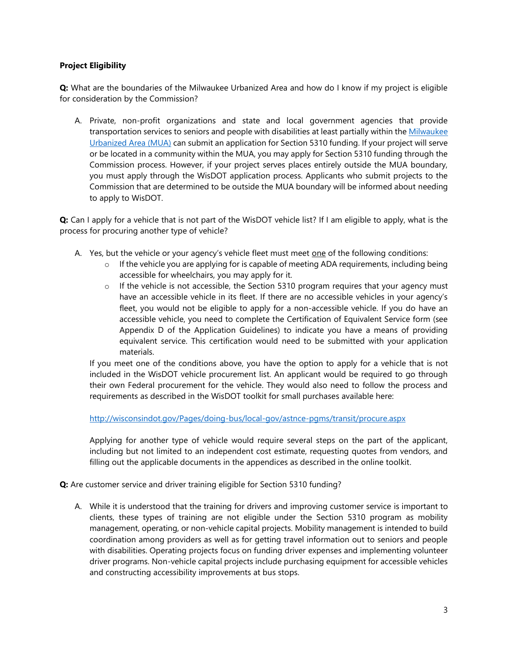## **Project Eligibility**

**Q:** What are the boundaries of the Milwaukee Urbanized Area and how do I know if my project is eligible for consideration by the Commission?

A. Private, non-profit organizations and state and local government agencies that provide transportation services to seniors and people with disabilities at least partially within the Milwaukee [Urbanized Area](https://sewrpc1.maps.arcgis.com/apps/webappviewer/index.html?id=7befb97b37ad4bd7a3f5d658a37db137) (MUA) can submit an application for Section 5310 funding. If your project will serve or be located in a community within the MUA, you may apply for Section 5310 funding through the Commission process. However, if your project serves places entirely outside the MUA boundary, you must apply through the WisDOT application process. Applicants who submit projects to the Commission that are determined to be outside the MUA boundary will be informed about needing to apply to WisDOT.

**Q:** Can I apply for a vehicle that is not part of the WisDOT vehicle list? If I am eligible to apply, what is the process for procuring another type of vehicle?

- A. Yes, but the vehicle or your agency's vehicle fleet must meet one of the following conditions:
	- o If the vehicle you are applying for is capable of meeting ADA requirements, including being accessible for wheelchairs, you may apply for it.
	- o If the vehicle is not accessible, the Section 5310 program requires that your agency must have an accessible vehicle in its fleet. If there are no accessible vehicles in your agency's fleet, you would not be eligible to apply for a non-accessible vehicle. If you do have an accessible vehicle, you need to complete the Certification of Equivalent Service form (see Appendix D of the Application Guidelines) to indicate you have a means of providing equivalent service. This certification would need to be submitted with your application materials.

If you meet one of the conditions above, you have the option to apply for a vehicle that is not included in the WisDOT vehicle procurement list. An applicant would be required to go through their own Federal procurement for the vehicle. They would also need to follow the process and requirements as described in the WisDOT toolkit for small purchases available here:

<http://wisconsindot.gov/Pages/doing-bus/local-gov/astnce-pgms/transit/procure.aspx>

Applying for another type of vehicle would require several steps on the part of the applicant, including but not limited to an independent cost estimate, requesting quotes from vendors, and filling out the applicable documents in the appendices as described in the online toolkit.

**Q:** Are customer service and driver training eligible for Section 5310 funding?

A. While it is understood that the training for drivers and improving customer service is important to clients, these types of training are not eligible under the Section 5310 program as mobility management, operating, or non-vehicle capital projects. Mobility management is intended to build coordination among providers as well as for getting travel information out to seniors and people with disabilities. Operating projects focus on funding driver expenses and implementing volunteer driver programs. Non-vehicle capital projects include purchasing equipment for accessible vehicles and constructing accessibility improvements at bus stops.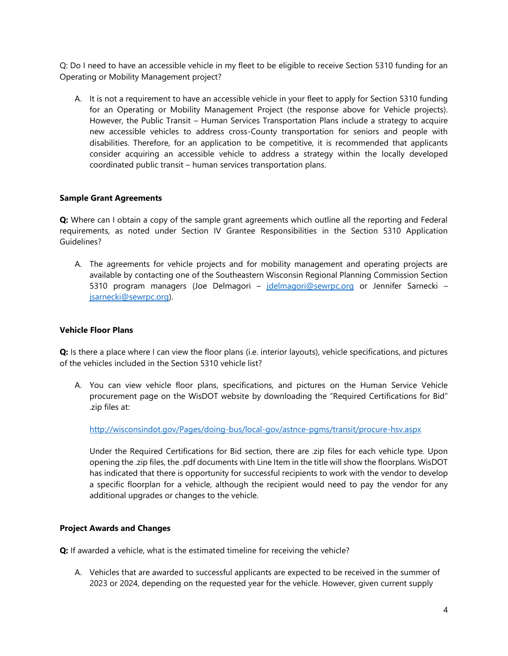Q: Do I need to have an accessible vehicle in my fleet to be eligible to receive Section 5310 funding for an Operating or Mobility Management project?

A. It is not a requirement to have an accessible vehicle in your fleet to apply for Section 5310 funding for an Operating or Mobility Management Project (the response above for Vehicle projects). However, the Public Transit – Human Services Transportation Plans include a strategy to acquire new accessible vehicles to address cross-County transportation for seniors and people with disabilities. Therefore, for an application to be competitive, it is recommended that applicants consider acquiring an accessible vehicle to address a strategy within the locally developed coordinated public transit – human services transportation plans.

#### **Sample Grant Agreements**

**Q:** Where can I obtain a copy of the sample grant agreements which outline all the reporting and Federal requirements, as noted under Section IV Grantee Responsibilities in the Section 5310 Application Guidelines?

A. The agreements for vehicle projects and for mobility management and operating projects are available by contacting one of the Southeastern Wisconsin Regional Planning Commission Section 5310 program managers (Joe Delmagori - *idelmagori@sewrpc.org* or Jennifer Sarnecki [jsarnecki@sewrpc.org\)](mailto:jsarnecki@sewrpc.org).

#### **Vehicle Floor Plans**

**Q:** Is there a place where I can view the floor plans (i.e. interior layouts), vehicle specifications, and pictures of the vehicles included in the Section 5310 vehicle list?

A. You can view vehicle floor plans, specifications, and pictures on the Human Service Vehicle procurement page on the WisDOT website by downloading the "Required Certifications for Bid" .zip files at:

<http://wisconsindot.gov/Pages/doing-bus/local-gov/astnce-pgms/transit/procure-hsv.aspx>

Under the Required Certifications for Bid section, there are .zip files for each vehicle type. Upon opening the .zip files, the .pdf documents with Line Item in the title will show the floorplans. WisDOT has indicated that there is opportunity for successful recipients to work with the vendor to develop a specific floorplan for a vehicle, although the recipient would need to pay the vendor for any additional upgrades or changes to the vehicle.

## **Project Awards and Changes**

**Q:** If awarded a vehicle, what is the estimated timeline for receiving the vehicle?

A. Vehicles that are awarded to successful applicants are expected to be received in the summer of 2023 or 2024, depending on the requested year for the vehicle. However, given current supply